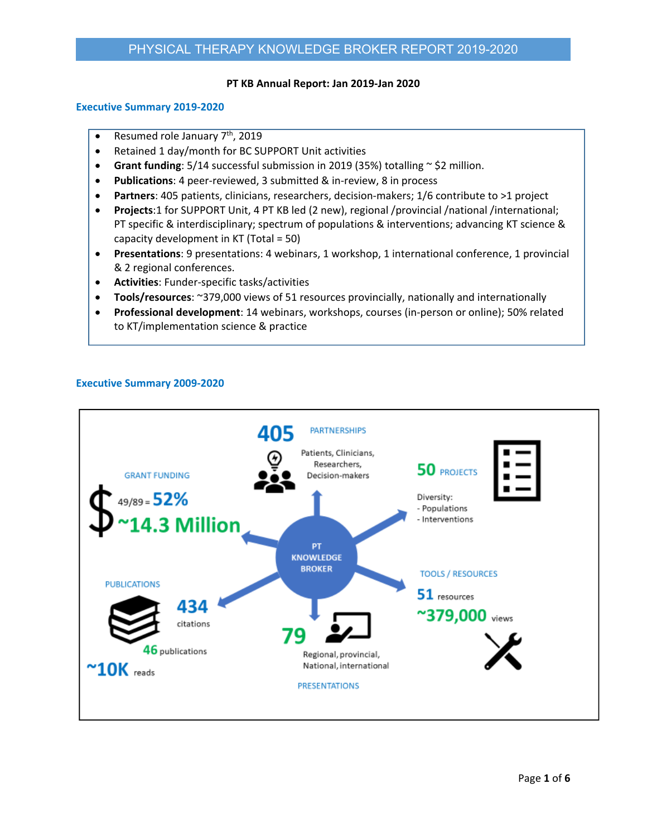#### **PT KB Annual Report: Jan 2019‐Jan 2020**

## **Executive Summary 2019‐2020**

- Resumed role January  $7<sup>th</sup>$ , 2019
- Retained 1 day/month for BC SUPPORT Unit activities
- **Grant funding**: 5/14 successful submission in 2019 (35%) totalling  $\sim$  \$2 million.
- **Publications**: 4 peer‐reviewed, 3 submitted & in‐review, 8 in process
- **Partners**: 405 patients, clinicians, researchers, decision‐makers; 1/6 contribute to >1 project
- **Projects**:1 for SUPPORT Unit, 4 PT KB led (2 new), regional /provincial /national /international; PT specific & interdisciplinary; spectrum of populations & interventions; advancing KT science & capacity development in KT (Total = 50)
- **Presentations**: 9 presentations: 4 webinars, 1 workshop, 1 international conference, 1 provincial & 2 regional conferences.
- **Activities**: Funder‐specific tasks/activities
- **Tools/resources**: ~379,000 views of 51 resources provincially, nationally and internationally
- **Professional development**: 14 webinars, workshops, courses (in‐person or online); 50% related to KT/implementation science & practice

# **Executive Summary 2009‐2020**

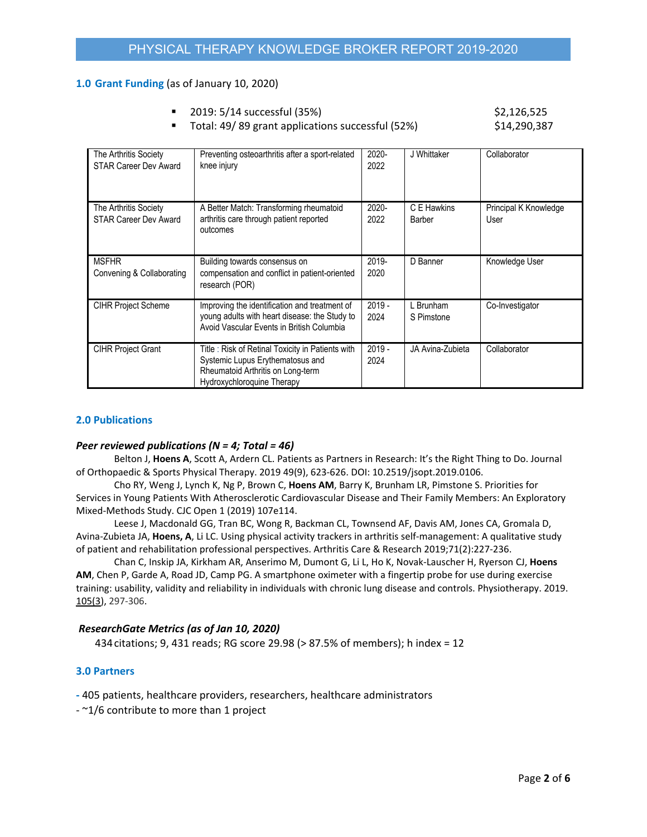## **1.0 Grant Funding** (as of January 10, 2020)

- 2019: 5/14 successful (35%) \$2,126,525
- Total: 49/ 89 grant applications successful (52%) \$14,290,387

| The Arthritis Society<br><b>STAR Career Dev Award</b> | Preventing osteoarthritis after a sport-related<br>knee injury                                                                                          | $2020 -$<br>2022 | J Whittaker             | Collaborator                  |
|-------------------------------------------------------|---------------------------------------------------------------------------------------------------------------------------------------------------------|------------------|-------------------------|-------------------------------|
| The Arthritis Society<br><b>STAR Career Dev Award</b> | A Better Match: Transforming rheumatoid<br>arthritis care through patient reported<br>outcomes                                                          | 2020-<br>2022    | C E Hawkins<br>Barber   | Principal K Knowledge<br>User |
| <b>MSFHR</b><br>Convening & Collaborating             | Building towards consensus on<br>compensation and conflict in patient-oriented<br>research (POR)                                                        | 2019-<br>2020    | D Banner                | Knowledge User                |
| <b>CIHR Project Scheme</b>                            | Improving the identification and treatment of<br>young adults with heart disease: the Study to<br>Avoid Vascular Events in British Columbia             | $2019 -$<br>2024 | L Brunham<br>S Pimstone | Co-Investigator               |
| <b>CIHR Project Grant</b>                             | Title: Risk of Retinal Toxicity in Patients with<br>Systemic Lupus Erythematosus and<br>Rheumatoid Arthritis on Long-term<br>Hydroxychloroquine Therapy | $2019 -$<br>2024 | JA Avina-Zubieta        | Collaborator                  |

## **2.0 Publications**

## *Peer reviewed publications (N = 4; Total = 46)*

 Belton J, **Hoens A**, Scott A, Ardern CL. Patients as Partners in Research: It's the Right Thing to Do. Journal of Orthopaedic & Sports Physical Therapy. 2019 49(9), 623‐626. DOI: 10.2519/jsopt.2019.0106.

 Cho RY, Weng J, Lynch K, Ng P, Brown C, **Hoens AM**, Barry K, Brunham LR, Pimstone S. Priorities for Services in Young Patients With Atherosclerotic Cardiovascular Disease and Their Family Members: An Exploratory Mixed‐Methods Study. CJC Open 1 (2019) 107e114.

 Leese J, Macdonald GG, Tran BC, Wong R, Backman CL, Townsend AF, Davis AM, Jones CA, Gromala D, Avina‐Zubieta JA, **Hoens, A**, Li LC. Using physical activity trackers in arthritis self‐management: A qualitative study of patient and rehabilitation professional perspectives. Arthritis Care & Research 2019;71(2):227‐236.

 Chan C, Inskip JA, Kirkham AR, Anserimo M, Dumont G, Li L, Ho K, Novak‐Lauscher H, Ryerson CJ, **Hoens AM**, Chen P, Garde A, Road JD, Camp PG. A smartphone oximeter with a fingertip probe for use during exercise training: usability, validity and reliability in individuals with chronic lung disease and controls. Physiotherapy. 2019. 105(3), 297‐306.

## *ResearchGate Metrics (as of Jan 10, 2020)*

434citations; 9, 431 reads; RG score 29.98 (> 87.5% of members); h index = 12

## **3.0 Partners**

**‐** 405 patients, healthcare providers, researchers, healthcare administrators

‐ ~1/6 contribute to more than 1 project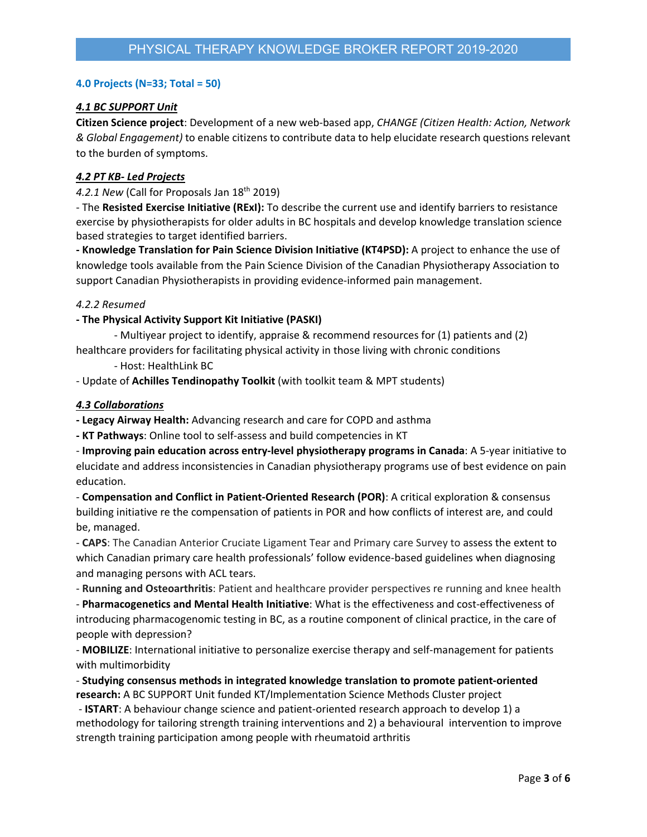## **4.0 Projects (N=33; Total = 50)**

# *4.1 BC SUPPORT Unit*

**Citizen Science project**: Development of a new web‐based app, *CHANGE (Citizen Health: Action, Network & Global Engagement)* to enable citizens to contribute data to help elucidate research questions relevant to the burden of symptoms.

## *4.2 PT KB‐ Led Projects*

4.2.1 New (Call for Proposals Jan 18<sup>th</sup> 2019)

‐ The **Resisted Exercise Initiative (RExI):** To describe the current use and identify barriers to resistance exercise by physiotherapists for older adults in BC hospitals and develop knowledge translation science based strategies to target identified barriers.

**‐ Knowledge Translation for Pain Science Division Initiative (KT4PSD):** A project to enhance the use of knowledge tools available from the Pain Science Division of the Canadian Physiotherapy Association to support Canadian Physiotherapists in providing evidence-informed pain management.

## *4.2.2 Resumed*

## **‐ The Physical Activity Support Kit Initiative (PASKI)**

‐ Multiyear project to identify, appraise & recommend resources for (1) patients and (2) healthcare providers for facilitating physical activity in those living with chronic conditions

‐ Host: HealthLink BC

‐ Update of **Achilles Tendinopathy Toolkit** (with toolkit team & MPT students)

## *4.3 Collaborations*

**‐ Legacy Airway Health:** Advancing research and care for COPD and asthma

**‐ KT Pathways**: Online tool to self‐assess and build competencies in KT

‐ **Improving pain education across entry‐level physiotherapy programs in Canada**: A 5‐year initiative to elucidate and address inconsistencies in Canadian physiotherapy programs use of best evidence on pain education.

‐ **Compensation and Conflict in Patient‐Oriented Research (POR)**: A critical exploration & consensus building initiative re the compensation of patients in POR and how conflicts of interest are, and could be, managed.

‐ **CAPS**: The Canadian Anterior Cruciate Ligament Tear and Primary care Survey to assess the extent to which Canadian primary care health professionals' follow evidence-based guidelines when diagnosing and managing persons with ACL tears.

‐ **Running and Osteoarthritis**: Patient and healthcare provider perspectives re running and knee health

‐ **Pharmacogenetics and Mental Health Initiative**: What is the effectiveness and cost‐effectiveness of introducing pharmacogenomic testing in BC, as a routine component of clinical practice, in the care of people with depression?

‐ **MOBILIZE**: International initiative to personalize exercise therapy and self‐management for patients with multimorbidity

‐ **Studying consensus methods in integrated knowledge translation to promote patient‐oriented research:** A BC SUPPORT Unit funded KT/Implementation Science Methods Cluster project

‐ **ISTART**: A behaviour change science and patient‐oriented research approach to develop 1) a methodology for tailoring strength training interventions and 2) a behavioural intervention to improve strength training participation among people with rheumatoid arthritis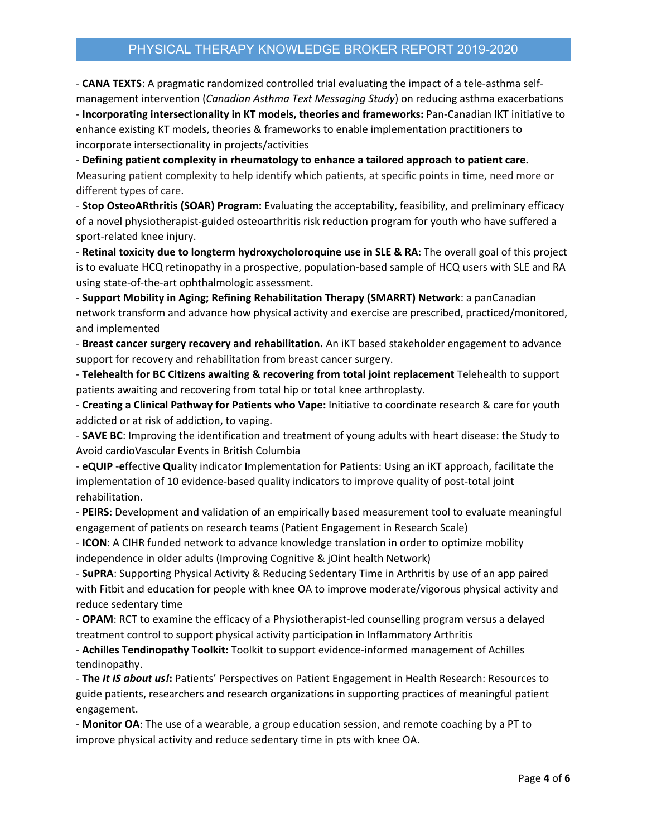# PHYSICAL THERAPY KNOWLEDGE BROKER REPORT 2019-2020

‐ **CANA TEXTS**: A pragmatic randomized controlled trial evaluating the impact of a tele‐asthma self‐ management intervention (*Canadian Asthma Text Messaging Study*) on reducing asthma exacerbations

‐ **Incorporating intersectionality in KT models, theories and frameworks:** Pan‐Canadian IKT initiative to enhance existing KT models, theories & frameworks to enable implementation practitioners to incorporate intersectionality in projects/activities

‐ **Defining patient complexity in rheumatology to enhance a tailored approach to patient care.**  Measuring patient complexity to help identify which patients, at specific points in time, need more or different types of care.

‐ **Stop OsteoARthritis (SOAR) Program:** Evaluating the acceptability, feasibility, and preliminary efficacy of a novel physiotherapist‐guided osteoarthritis risk reduction program for youth who have suffered a sport‐related knee injury.

‐ **Retinal toxicity due to longterm hydroxycholoroquine use in SLE & RA**: The overall goal of this project is to evaluate HCQ retinopathy in a prospective, population‐based sample of HCQ users with SLE and RA using state‐of‐the‐art ophthalmologic assessment.

‐ **Support Mobility in Aging; Refining Rehabilitation Therapy (SMARRT) Network**: a panCanadian network transform and advance how physical activity and exercise are prescribed, practiced/monitored, and implemented

‐ **Breast cancer surgery recovery and rehabilitation.** An iKT based stakeholder engagement to advance support for recovery and rehabilitation from breast cancer surgery.

‐ **Telehealth for BC Citizens awaiting & recovering from total joint replacement** Telehealth to support patients awaiting and recovering from total hip or total knee arthroplasty.

‐ **Creating a Clinical Pathway for Patients who Vape:** Initiative to coordinate research & care for youth addicted or at risk of addiction, to vaping.

‐ **SAVE BC**: Improving the identification and treatment of young adults with heart disease: the Study to Avoid cardioVascular Events in British Columbia

‐ **eQUIP** ‐**e**ffective **Qu**ality indicator **I**mplementation for **P**atients: Using an iKT approach, facilitate the implementation of 10 evidence-based quality indicators to improve quality of post-total joint rehabilitation.

‐ **PEIRS**: Development and validation of an empirically based measurement tool to evaluate meaningful engagement of patients on research teams (Patient Engagement in Research Scale)

‐ **ICON**: A CIHR funded network to advance knowledge translation in order to optimize mobility independence in older adults (Improving Cognitive & jOint health Network)

‐ **SuPRA**: Supporting Physical Activity & Reducing Sedentary Time in Arthritis by use of an app paired with Fitbit and education for people with knee OA to improve moderate/vigorous physical activity and reduce sedentary time

‐ **OPAM**: RCT to examine the efficacy of a Physiotherapist‐led counselling program versus a delayed treatment control to support physical activity participation in Inflammatory Arthritis

‐ **Achilles Tendinopathy Toolkit:** Toolkit to support evidence‐informed management of Achilles tendinopathy.

‐ **The** *It IS about us!***:** Patients' Perspectives on Patient Engagement in Health Research: Resources to guide patients, researchers and research organizations in supporting practices of meaningful patient engagement.

‐ **Monitor OA**: The use of a wearable, a group education session, and remote coaching by a PT to improve physical activity and reduce sedentary time in pts with knee OA.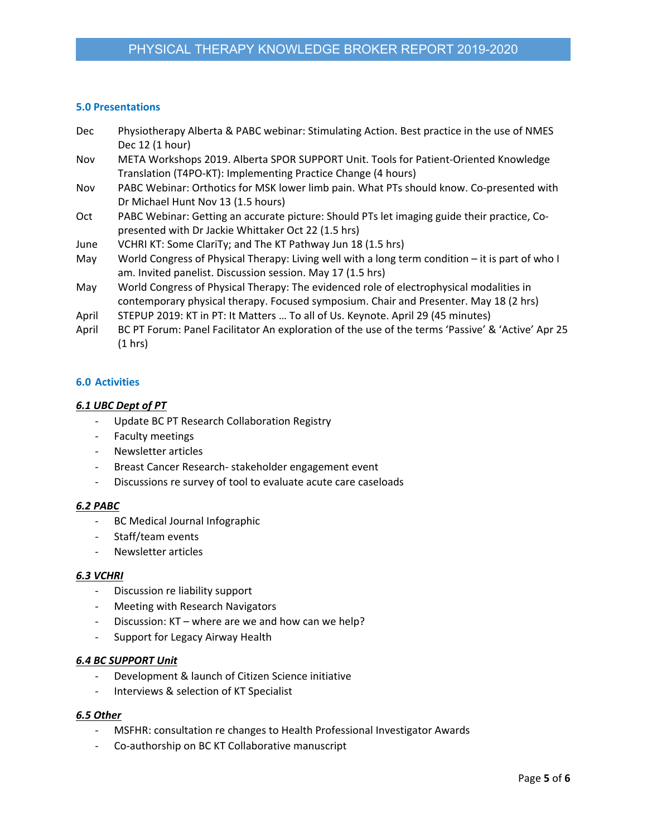## **5.0 Presentations**

| <b>Dec</b> | Physiotherapy Alberta & PABC webinar: Stimulating Action. Best practice in the use of NMES        |
|------------|---------------------------------------------------------------------------------------------------|
|            | Dec 12 (1 hour)                                                                                   |
| Nov        | META Workshops 2019. Alberta SPOR SUPPORT Unit. Tools for Patient-Oriented Knowledge              |
|            | Translation (T4PO-KT): Implementing Practice Change (4 hours)                                     |
| Nov        | PABC Webinar: Orthotics for MSK lower limb pain. What PTs should know. Co-presented with          |
|            | Dr Michael Hunt Nov 13 (1.5 hours)                                                                |
| Oct.       | PABC Webinar: Getting an accurate picture: Should PTs let imaging guide their practice, Co-       |
|            | presented with Dr Jackie Whittaker Oct 22 (1.5 hrs)                                               |
| June       | VCHRI KT: Some ClariTy; and The KT Pathway Jun 18 (1.5 hrs)                                       |
| May        | World Congress of Physical Therapy: Living well with a long term condition - it is part of who I  |
|            | am. Invited panelist. Discussion session. May 17 (1.5 hrs)                                        |
| May        | World Congress of Physical Therapy: The evidenced role of electrophysical modalities in           |
|            | contemporary physical therapy. Focused symposium. Chair and Presenter. May 18 (2 hrs)             |
| April      | STEPUP 2019: KT in PT: It Matters  To all of Us. Keynote. April 29 (45 minutes)                   |
| April      | BC PT Forum: Panel Facilitator An exploration of the use of the terms 'Passive' & 'Active' Apr 25 |
|            | (1 hrs)                                                                                           |

# **6.0 Activities**

## *6.1 UBC Dept of PT*

- ‐ Update BC PT Research Collaboration Registry
- ‐ Faculty meetings
- ‐ Newsletter articles
- ‐ Breast Cancer Research‐ stakeholder engagement event
- ‐ Discussions re survey of tool to evaluate acute care caseloads

## *6.2 PABC*

- ‐ BC Medical Journal Infographic
- ‐ Staff/team events
- ‐ Newsletter articles

## *6.3 VCHRI*

- ‐ Discussion re liability support
- ‐ Meeting with Research Navigators
- ‐ Discussion: KT where are we and how can we help?
- ‐ Support for Legacy Airway Health

# *6.4 BC SUPPORT Unit*

- ‐ Development & launch of Citizen Science initiative
- ‐ Interviews & selection of KT Specialist

## *6.5 Other*

- ‐ MSFHR: consultation re changes to Health Professional Investigator Awards
- ‐ Co‐authorship on BC KT Collaborative manuscript